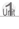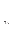#### **Lessons**

- **Worship—A Spiritual Gem**
- **Only God Is Worthy**
- **Worship in Prayer**
- **Worship in Service**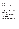# ິ້ອ**I** Worship—A<br>≝ I Spiritual Ger Spiritual Gem

It was a cold day. High in the Andes mountains a young man trudged down a gravel road. Suddenly he saw an interestinglooking rock, picked it up, and put it in his pocket. Little did he know what he had found. That rock, one of the largest emeralds ever found in Colombia, was sold for several million pesos, and the man became wealthy.

Wouldn't you like to have found that stone? We would all love to own a precious emerald, diamond, or ruby. But, even though we may not be able to own these, there is one gem we can all have—the gem of worship.

Worshipping God is like a precious stone because it makes us spiritually rich. Like a beautiful gem, there are different facets to worship. We will study several of the most important ones. As you learn to put these truths into action, you will be polishing your "gem" of worship. The Holy Spirit will help you so that every facet radiates the beauty and glory of God.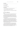#### *The Plan*

- A. Love in Worship
- B. Inner Qualities
- C. Outward Expressions

#### *The Goals*

- 1. Show the importance of reciprocating God's love.
- 2. State some qualities needed for worship.
- 3. Identify from Scripture ways in which people worshipped God.

#### **A. Love in Worship**

**Goal 1.** Show the importance of reciprocating God's love.

Our love for God needs to be expressed. He has already expressed His love for us by sending His Son to die in our place. He shows goodness and mercy even to those who have not cared about Him. Matthew 5:45 says, "He causes his sun to rise on the evil and the good, and sends rain on the righteous and the unrighteous."

Expressing love is a two-way street. Is there any reason for us to hide our feelings from Him? Though He reads our hearts and sees the love there, He longs for us to speak our love and demonstrate it. In so doing we open the door for Him to speak His love back to us. Then we begin to understand what fellowship and communion with the Lord is about. Nothing else in all the world can take its place.

There is a spiritual need that can be filled only through worship. We need to speak our love to God and demonstrate that love by our actions. How can that be done? A deed of kindness done in the name of Jesus becomes an act of worship because it pleases the Lord. (Read Matthew 25:31–40.)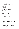As a Christian you have already learned that pleasing the Lord brings you satisfaction and contentment. The worshipful person is also a cheerful person—that in itself is a reward. Proverbs 17:22 says, "A cheerful heart is good medicine." Psalm 128:1 affirms, "Blessed are all who fear the Lord, who walk in his ways."

## *Application*

- **1** Circle the letter in front of the correct sentence completion.
- To truly worship God is to do and say whatever
- **a)** seems right at the moment.
- **b)** makes us feel good.
- **c)** is pleasing to God.
- **2** Which of the following are acts of worship?
- **a)** Telling God that you love Him
- **b**) Reading His Word every day
- **c)** Giving a cup of water in the name of Jesus

**3** Write two things you could do or say that would be worship to God.

Check your answers with those at the end of this lesson. \_\_\_

## **B. Inner Qualities**

**Goal 2.** State some qualities needed for worship.

John writes, "The time is coming and is already here, when by the power of God's Spirit people will worship the Father as he really is, offering him the true worship he wants" (John 4:23). This verse gives what is expected of us as worshippers: to worship the Father in spirit and truth, for God seeks such worshippers.

The words "by the power" suggest that we need power or strength to worship, but the power must be greater than our own. When we admit our lack, we take the first step toward real worship—the step of humility.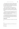In true worship we also see ourselves as children in need of love and guidance. Does this sound like a step downward? In a way it is. But humility does not mean giving up everything we own. It means allowing the Lord first place in every area of our lives. When we begin to see His greatness, we are more ready to offer the true worship that He wants.

Other essential qualities in worship include love and obedience. In family relationships it is impossible to separate these two qualities. One calls for, or complements, the other. If a child loves his or her parents, obeying them is usually not difficult. Rather, it becomes a pleasure. Love prompts the desire to please.

If we find ourselves wanting to go against God's commands, we should view our attitude as a warning that our love is wearing thin. We must humbly ask the Lord to forgive our selfcenteredness. He will again pour in His love—love that we can pour out in joyful obedience to His will.

Just as the gem has many facets, worship also has facets. We have studied qualities that are among the most important. But as you seek God's Word, His Spirit will show you many more. Every new inner quality that you add and polish will make your time of worship more valuable.

## *Application*

**4** The three personal qualities for worship that we have studied are

| 5 What quality is illustrated by each of the following verses? |  |
|----------------------------------------------------------------|--|
|                                                                |  |
|                                                                |  |
|                                                                |  |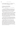- 1 -

**6** Read the parable in Matthew 21:28–32. Which of the two sons was developing the qualities we have studied?

#### **C. Outward Expressions**

**Goal 3.** Identify from Scripture ways in which people worshipped God.

The facets of our worship gem are innumerable. In every new circumstance we find creative ways and opportunities to worship and glorify God. Our Bibles show how people of long ago expressed their love, and we can learn from their experiences. As we express our love, it, too, will grow.

David, the shepherd who became king of Israel, worshipped the Lord with musical instruments and with song. Moses' sister Miriam worshipped with a holy dance. The great woman of Shunem simply bowed in silence, too awed for the moment to utter a word. Dorcas was a godly woman who gave God glory and honor by her consistent Christian life and her quick fingers to sew and make clothing for the poor.

Mary, the mother of Jesus, praised and exalted God. Her words were not her own. As she opened her heart and mouth to praise, she spoke beautiful words of prophecy. Read this prayer called the Magnificat, or Mary's song, in Luke 1:46–55.

These examples show only a few of the ways we can worship the Lord. With our voices we can praise Him in song. With our bodies we can worship by playing musical instruments, clapping our hands, or raising our arms. Some of the most precious moments of worship are found in complete silence, meditating on the goodness of God. And, as we know, actions speak as loudly as words. We praise when we obey when we look about us and see needs that we can fill, and then do what we can to fill those needs.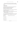Sincere worship is a precious stone found in the ordinary soil of earth, yet it can reflect the light, the beauty, and the glory of God.

## *Application*

**7** One of the best ways to express our love to the Lord is to

**a)** hide from worldly influence and temptation.

**b**) repeat the same prayer over and over.

**c)** show by our actions that we love Him.

**8** If someone were to ask you how to worship, what would you consider the best answer?

- **a)** You can watch others and copy what they do.
- **b)** There is more than one form of worship; you can turn to the Bible for examples.
- **c)** Find what suits you best and start doing it.

**9** Look up the following Scriptures and in your own words tell by what means these people worshipped God. The first one is done for you.

| $a)$ Acts 2 | Having fellowship with believers |
|-------------|----------------------------------|
|             | <b>b</b> ) Acts $4:32$           |
|             |                                  |
|             |                                  |
|             |                                  |
|             |                                  |
|             |                                  |